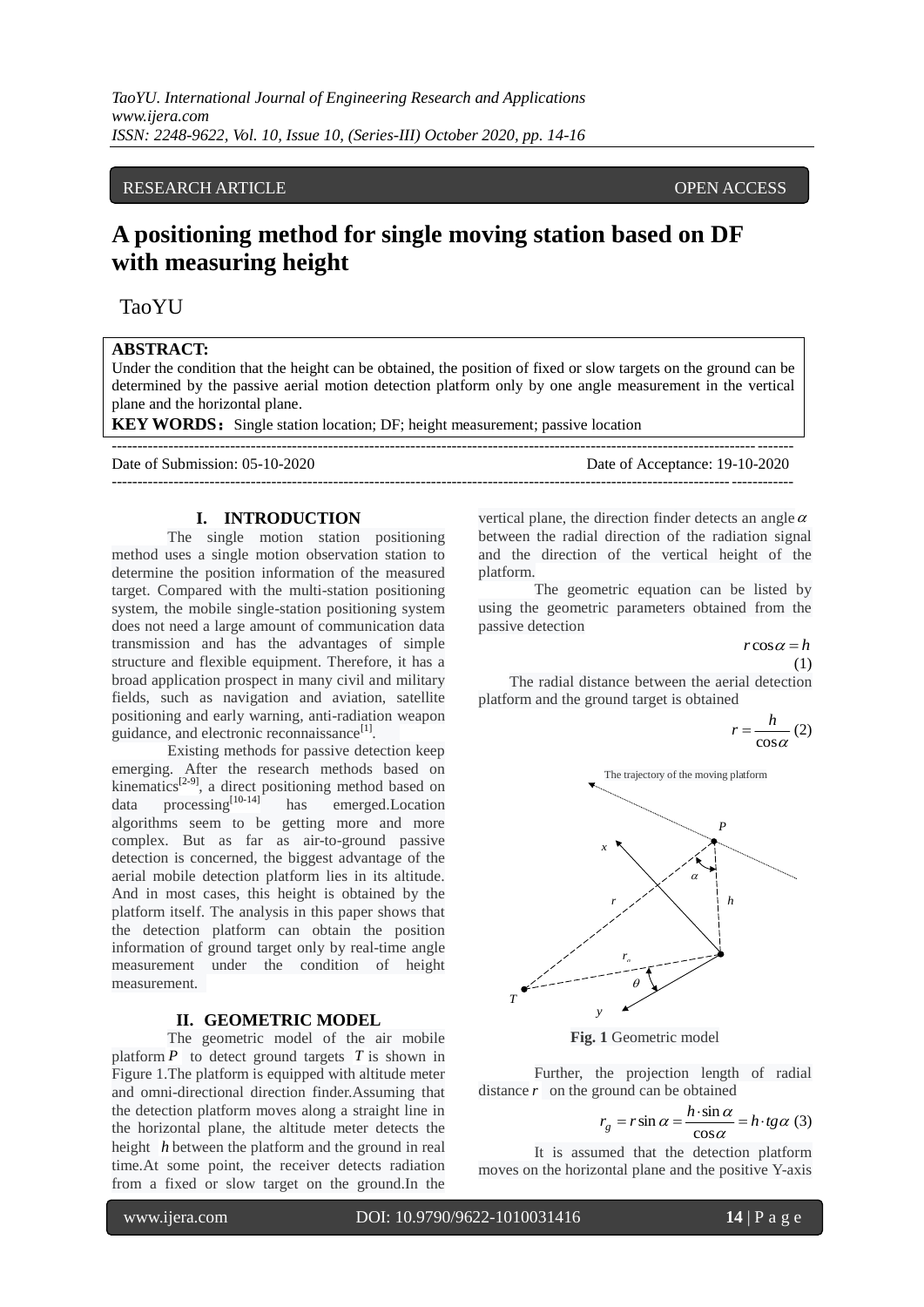# RESEARCH ARTICLE **CONSERVERS** OPEN ACCESS

# **A positioning method for single moving station based on DF with measuring height**

TaoYU

# **ABSTRACT:**

Under the condition that the height can be obtained, the position of fixed or slow targets on the ground can be determined by the passive aerial motion detection platform only by one angle measurement in the vertical plane and the horizontal plane.

------------------------------------------------------------------------------------------------------------------------------------

------------------------------------------------------------------------------------------------------------------------------------

**KEY WORDS:** Single station location; DF; height measurement; passive location

Date of Submission: 05-10-2020 Date of Acceptance: 19-10-2020

# **I. INTRODUCTION**

The single motion station positioning method uses a single motion observation station to determine the position information of the measured target. Compared with the multi-station positioning system, the mobile single-station positioning system does not need a large amount of communication data transmission and has the advantages of simple structure and flexible equipment. Therefore, it has a broad application prospect in many civil and military fields, such as navigation and aviation, satellite positioning and early warning, anti-radiation weapon guidance, and electronic reconnaissance<sup>[1]</sup>.

Existing methods for passive detection keep emerging. After the research methods based on kinematics $[2-9]$ , a direct positioning method based on  $data$  processing<sup>[10-14]</sup> has emerged.Location algorithms seem to be getting more and more complex. But as far as air-to-ground passive detection is concerned, the biggest advantage of the aerial mobile detection platform lies in its altitude. And in most cases, this height is obtained by the platform itself. The analysis in this paper shows that the detection platform can obtain the position information of ground target only by real-time angle measurement under the condition of height measurement.

#### **II. GEOMETRIC MODEL**

The geometric model of the air mobile platform  $P$  to detect ground targets  $T$  is shown in Figure 1.The platform is equipped with altitude meter and omni-directional direction finder.Assuming that the detection platform moves along a straight line in the horizontal plane, the altitude meter detects the height *h* between the platform and the ground in real time.At some point, the receiver detects radiation from a fixed or slow target on the ground.In the

vertical plane, the direction finder detects an angle  $\alpha$ between the radial direction of the radiation signal and the direction of the vertical height of the platform.

The geometric equation can be listed by using the geometric parameters obtained from the passive detection

 $r \cos \alpha = h$ 

(1)

The radial distance between the aerial detection platform and the ground target is obtained

$$
r = \frac{h}{\cos \alpha} (2)
$$



**Fig. 1** Geometric model

Further, the projection length of radial distance  $r$  on the ground can be obtained

$$
r_g = r \sin \alpha = \frac{h \cdot \sin \alpha}{\cos \alpha} = h \cdot tg \alpha \text{ (3)}
$$

It is assumed that the detection platform moves on the horizontal plane and the positive Y-axis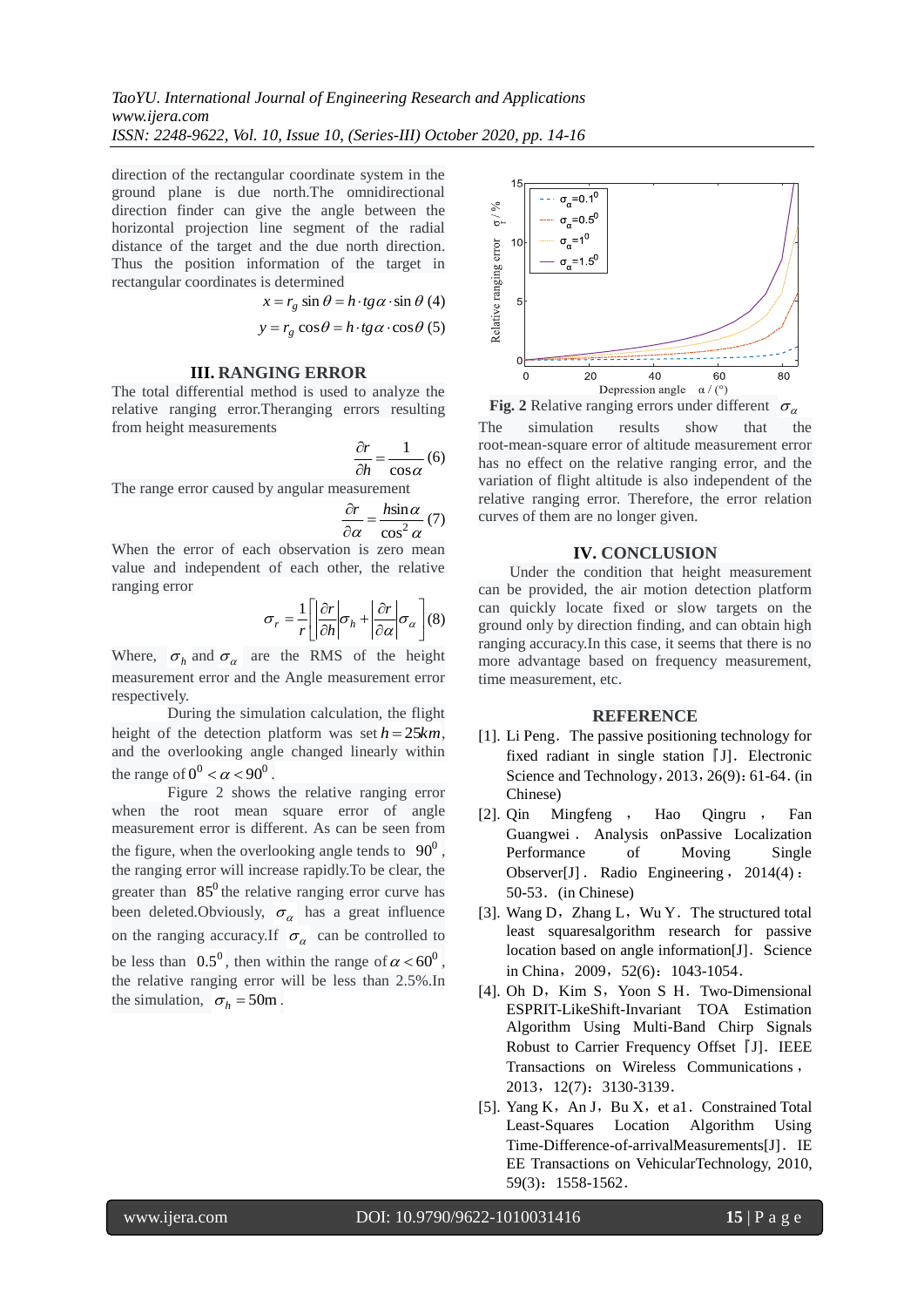direction of the rectangular coordinate system in the ground plane is due north.The omnidirectional direction finder can give the angle between the horizontal projection line segment of the radial distance of the target and the due north direction. Thus the position information of the target in rectangular coordinates is determined

$$
x = r_g \sin \theta = h \cdot tg \alpha \cdot \sin \theta
$$
 (4)  

$$
y = r_g \cos \theta = h \cdot tg \alpha \cdot \cos \theta
$$
 (5)

# **III. RANGING ERROR**

The total differential method is used to analyze the relative ranging error.Theranging errors resulting from height measurements

$$
\frac{\partial r}{\partial h} = \frac{1}{\cos \alpha} (6)
$$

The range error caused by angular measurement

$$
\frac{\partial r}{\partial \alpha} = \frac{h \sin \alpha}{\cos^2 \alpha} (7)
$$

When the error of each observation is zero mean value and independent of each other, the relative ranging error

$$
\sigma_r = \frac{1}{r} \left[ \left| \frac{\partial r}{\partial h} \right| \sigma_h + \left| \frac{\partial r}{\partial \alpha} \right| \sigma_\alpha \right] (8)
$$

Where,  $\sigma_h$  and  $\sigma_\alpha$  are the RMS of the height measurement error and the Angle measurement error respectively.

During the simulation calculation, the flight height of the detection platform was set  $h = 25km$ , and the overlooking angle changed linearly within the range of  $0^0 < \alpha < 90^0$ .

Figure 2 shows the relative ranging error when the root mean square error of angle measurement error is different. As can be seen from the figure, when the overlooking angle tends to  $90^0$ , the ranging error will increase rapidly.To be clear, the greater than  $85^{\circ}$  the relative ranging error curve has been deleted.Obviously,  $\sigma_{\alpha}$  has a great influence on the ranging accuracy.If  $\sigma_{\alpha}$  can be controlled to be less than  $0.5^0$ , then within the range of  $\alpha < 60^0$ , the relative ranging error will be less than 2.5%.In the simulation,  $\sigma_h = 50$ m.



The simulation results show that the root-mean-square error of altitude measurement error has no effect on the relative ranging error, and the variation of flight altitude is also independent of the relative ranging error. Therefore, the error relation curves of them are no longer given.

# **IV. CONCLUSION**

Under the condition that height measurement can be provided, the air motion detection platform can quickly locate fixed or slow targets on the ground only by direction finding, and can obtain high ranging accuracy.In this case, it seems that there is no more advantage based on frequency measurement, time measurement, etc.

# **REFERENCE**

- [1]. Li Peng. The passive positioning technology for fixed radiant in single station  $\llbracket J \rrbracket$ . Electronic Science and Technology, 2013, 26(9): 61-64. (in Chinese)
- [2]. Qin Mingfeng , Hao Qingru , Fan Guangwei . Analysis onPassive Localization Performance of Moving Single Observer[J]. Radio Engineering, 2014(4): 50-53.(in Chinese)
- [3]. Wang D, Zhang L, Wu Y. The structured total least squaresalgorithm research for passive location based on angle information $[J]$ . Science in China,2009,52(6):1043-1054.
- [4]. Oh D, Kim S, Yoon S H. Two-Dimensional ESPRIT-LikeShift-Invariant TOA Estimation Algorithm Using Multi-Band Chirp Signals Robust to Carrier Frequency Offset [J]. IEEE Transactions on Wireless Communications , 2013,12(7):3130-3139.
- [5]. Yang K, An J, Bu X, et a1. Constrained Total Least-Squares Location Algorithm Using Time-Difference-of-arrivalMeasurements[J]. IE EE Transactions on VehicularTechnology, 2010, 59(3):1558-1562.